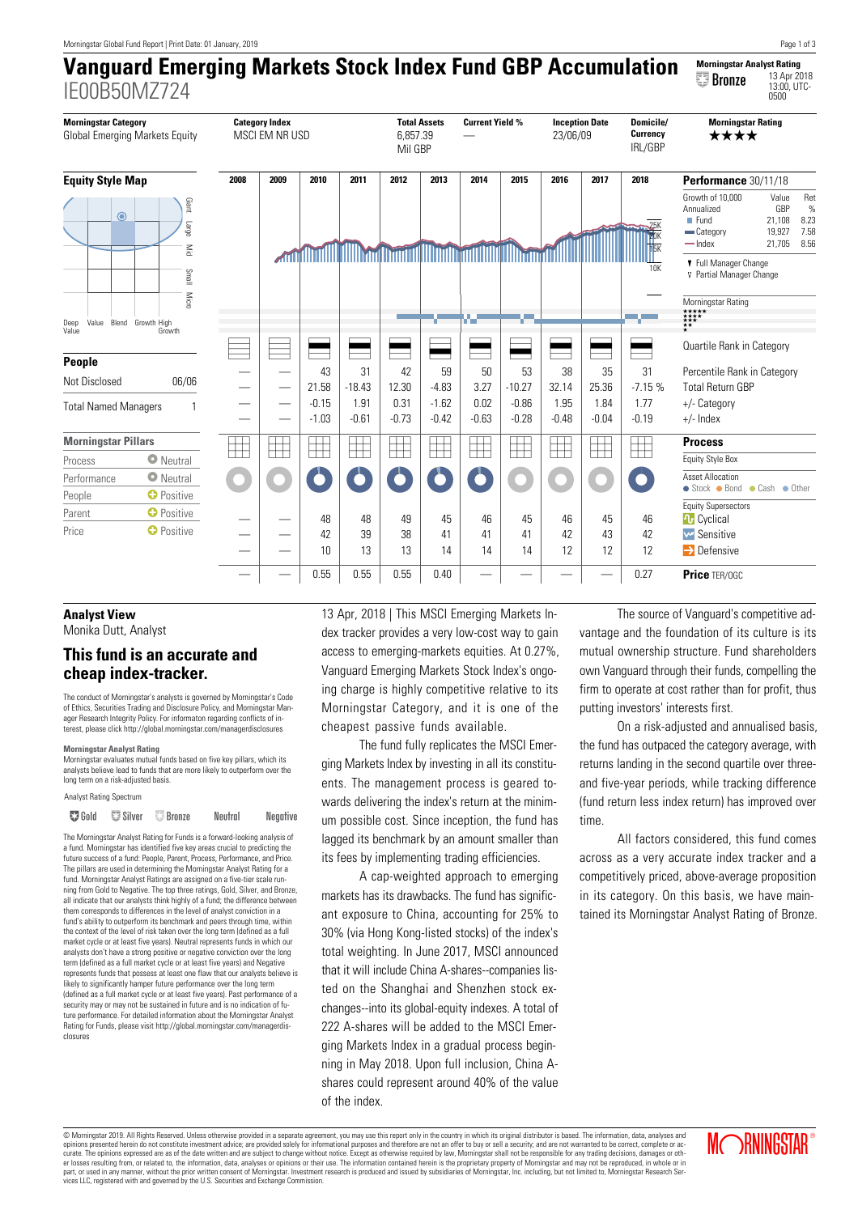# **Vanguard Emerging Markets Stock Index Fund GBP Accumulation** IE00B50MZ724 **Morningstar Analyst Rating Bronze**  $\frac{13 \text{ Apr}}{13:00, \text{ UTC}}$



# **Analyst View** Monika Dutt, Analyst

# **This fund is an accurate and cheap index-tracker.**

The conduct of Morningstar's analysts is governed by Morningstar's Code of Ethics, Securities Trading and Disclosure Policy, and Morningstar Manager Research Integrity Policy. For informaton regarding conflicts of interest, please click http://global.morningstar.com/managerdisclosures

# **Morningstar Analyst Rating**

-<br>star evaluates mutual funds based on five key pillars, which its analysts believe lead to funds that are more likely to outperform over the long term on a risk-adjusted basis

```
Analyst Rating Spectrum
```
▼ Gold © Silver © Bronze Neutral Negative

The Morningstar Analyst Rating for Funds is a forward-looking analysis of a fund. Morningstar has identified five key areas crucial to predicting the future success of a fund: People, Parent, Process, Performance, and Price. The pillars are used in determining the Morningstar Analyst Rating for a fund. Morningstar Analyst Ratings are assigned on a five-tier scale running from Gold to Negative. The top three ratings, Gold, Silver, and Bronze, all indicate that our analysts think highly of a fund; the difference between them corresponds to differences in the level of analyst conviction in a fund's ability to outperform its benchmark and peers through time, within the context of the level of risk taken over the long term (defined as a full market cycle or at least five years). Neutral represents funds in which our analysts don't have a strong positive or negative conviction over the long term (defined as a full market cycle or at least five years) and Negative represents funds that possess at least one flaw that our analysts believe is likely to significantly hamper future performance over the long term (defined as a full market cycle or at least five years). Past performance of a security may or may not be sustained in future and is no indication of future performance. For detailed information about the Morningstar Analyst Rating for Funds, please visit http://global.morningstar.com/managerdisclosures

13 Apr, 2018 | This MSCI Emerging Markets Index tracker provides a very low-cost way to gain access to emerging-markets equities. At 0.27%, Vanguard Emerging Markets Stock Index's ongoing charge is highly competitive relative to its Morningstar Category, and it is one of the cheapest passive funds available.

The fund fully replicates the MSCI Emerging Markets Index by investing in all its constituents. The management process is geared towards delivering the index's return at the minimum possible cost. Since inception, the fund has lagged its benchmark by an amount smaller than its fees by implementing trading efficiencies.

A cap-weighted approach to emerging markets has its drawbacks. The fund has significant exposure to China, accounting for 25% to 30% (via Hong Kong-listed stocks) of the index's total weighting. In June 2017, MSCI announced that it will include China A-shares--companies listed on the Shanghai and Shenzhen stock exchanges--into its global-equity indexes. A total of 222 A-shares will be added to the MSCI Emerging Markets Index in a gradual process beginning in May 2018. Upon full inclusion, China Ashares could represent around 40% of the value of the index.

The source of Vanguard's competitive advantage and the foundation of its culture is its mutual ownership structure. Fund shareholders own Vanguard through their funds, compelling the firm to operate at cost rather than for profit, thus putting investors' interests first.

On a risk-adjusted and annualised basis, the fund has outpaced the category average, with returns landing in the second quartile over threeand five-year periods, while tracking difference (fund return less index return) has improved over time.

All factors considered, this fund comes across as a very accurate index tracker and a competitively priced, above-average proposition in its category. On this basis, we have maintained its Morningstar Analyst Rating of Bronze.

© Morningstar 2019. All Rights Reserved. Unless otherwise provided in a separate agreement, you may use this report only in the country in which its original distributor is based. The information, data, analyses and<br>opinio curate. The opinions expressed are as of the date written and are subject to change without notice. Except as otherwise required by law, Morningstar shall not be responsible for any trading decisions, damages or oth er losses resulting from, or related to, the information, data, analyses or opinions or their use. The information contained herein is the proprietary property of Morningstar and may not be reproduced, in whole or in part, or used in any manner, without the prior written consent of Morningstar. Investment research is produced and issued by subsidiaries of Morningstar, Inc. including, but not limited to, Morningstar Research Services LLC, registered with and governed by the U.S. Securities and Exchange Commission.

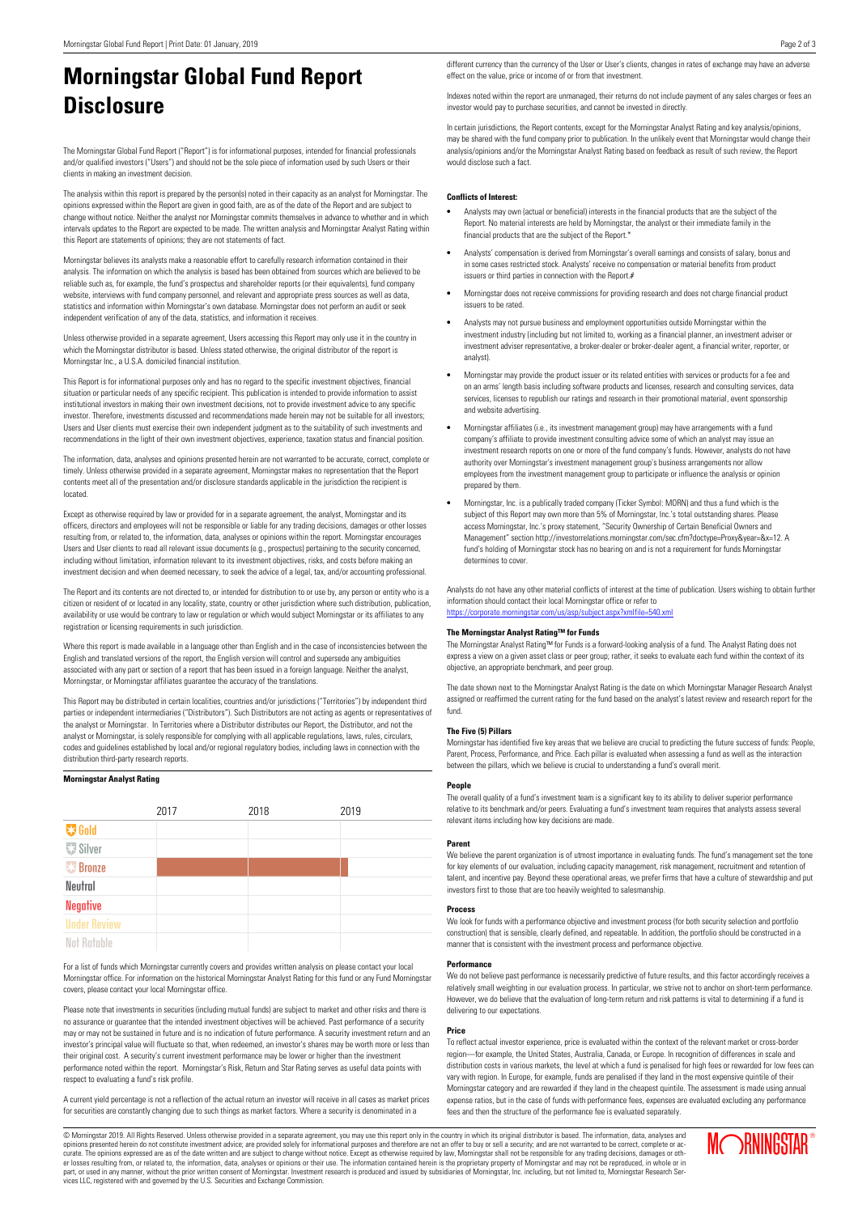# **Morningstar Global Fund Report Disclosure**

The Morningstar Global Fund Report ("Report") is for informational purposes, intended for financial professionals and/or qualified investors ("Users") and should not be the sole piece of information used by such Users or their clients in making an investment decision.

The analysis within this report is prepared by the person(s) noted in their capacity as an analyst for Morningstar. The opinions expressed within the Report are given in good faith, are as of the date of the Report and are subject to change without notice. Neither the analyst nor Morningstar commits themselves in advance to whether and in which intervals updates to the Report are expected to be made. The written analysis and Morningstar Analyst Rating within this Report are statements of opinions; they are not statements of fact.

Morningstar believes its analysts make a reasonable effort to carefully research information contained in their analysis. The information on which the analysis is based has been obtained from sources which are believed to be reliable such as, for example, the fund's prospectus and shareholder reports (or their equivalents), fund company website, interviews with fund company personnel, and relevant and appropriate press sources as well as data, statistics and information within Morningstar's own database. Morningstar does not perform an audit or seek independent verification of any of the data, statistics, and information it receives.

Unless otherwise provided in a separate agreement, Users accessing this Report may only use it in the country in which the Morningstar distributor is based. Unless stated otherwise, the original distributor of the report is Morningstar Inc., a U.S.A. domiciled financial institution.

This Report is for informational purposes only and has no regard to the specific investment objectives, financial situation or particular needs of any specific recipient. This publication is intended to provide information to assist institutional investors in making their own investment decisions, not to provide investment advice to any specific investor. Therefore, investments discussed and recommendations made herein may not be suitable for all investors; Users and User clients must exercise their own independent judgment as to the suitability of such investments and recommendations in the light of their own investment objectives, experience, taxation status and financial position.

The information, data, analyses and opinions presented herein are not warranted to be accurate, correct, complete or timely. Unless otherwise provided in a separate agreement, Morningstar makes no representation that the Report contents meet all of the presentation and/or disclosure standards applicable in the jurisdiction the recipient is located.

Except as otherwise required by law or provided for in a separate agreement, the analyst, Morningstar and its officers, directors and employees will not be responsible or liable for any trading decisions, damages or other losses resulting from, or related to, the information, data, analyses or opinions within the report. Morningstar encourages Users and User clients to read all relevant issue documents (e.g., prospectus) pertaining to the security concerned, including without limitation, information relevant to its investment objectives, risks, and costs before making an investment decision and when deemed necessary, to seek the advice of a legal, tax, and/or accounting professional.

The Report and its contents are not directed to, or intended for distribution to or use by, any person or entity who is a citizen or resident of or located in any locality, state, country or other jurisdiction where such distribution, publication, availability or use would be contrary to law or regulation or which would subject Morningstar or its affiliates to any registration or licensing requirements in such jurisdiction.

Where this report is made available in a language other than English and in the case of inconsistencies between the English and translated versions of the report, the English version will control and supersede any ambiguities associated with any part or section of a report that has been issued in a foreign language. Neither the analyst, Morningstar, or Morningstar affiliates guarantee the accuracy of the translations.

This Report may be distributed in certain localities, countries and/or jurisdictions ("Territories") by independent third parties or independent intermediaries ("Distributors"). Such Distributors are not acting as agents or representatives of the analyst or Morningstar. In Territories where a Distributor distributes our Report, the Distributor, and not the analyst or Morningstar, is solely responsible for complying with all applicable regulations, laws, rules, circulars, codes and guidelines established by local and/or regional regulatory bodies, including laws in connection with the distribution third-party research reports.

# **Morningstar Analyst Rating**

|                     | 2017 | 2018 | 2019 |  |
|---------------------|------|------|------|--|
| <b>W</b> Gold       |      |      |      |  |
| <b>要 Silver</b>     |      |      |      |  |
| <b>Bronze</b>       |      |      |      |  |
| Neutral             |      |      |      |  |
| <b>Negative</b>     |      |      |      |  |
| <b>Under Review</b> |      |      |      |  |
| <b>Not Ratable</b>  |      |      |      |  |

For a list of funds which Morningstar currently covers and provides written analysis on please contact your local Morningstar office. For information on the historical Morningstar Analyst Rating for this fund or any Fund Morningstar covers, please contact your local Morningstar office.

Please note that investments in securities (including mutual funds) are subject to market and other risks and there is no assurance or guarantee that the intended investment objectives will be achieved. Past performance of a security may or may not be sustained in future and is no indication of future performance. A security investment return and an investor's principal value will fluctuate so that, when redeemed, an investor's shares may be worth more or less than their original cost. A security's current investment performance may be lower or higher than the investment performance noted within the report. Morningstar's Risk, Return and Star Rating serves as useful data points with respect to evaluating a fund's risk profile.

A current yield percentage is not a reflection of the actual return an investor will receive in all cases as market prices for securities are constantly changing due to such things as market factors. Where a security is denominated in a

different currency than the currency of the User or User's clients, changes in rates of exchange may have an adverse effect on the value, price or income of or from that investment.

Indexes noted within the report are unmanaged, their returns do not include payment of any sales charges or fees an investor would pay to purchase securities, and cannot be invested in directly.

In certain jurisdictions, the Report contents, except for the Morningstar Analyst Rating and key analysis/opinions, may be shared with the fund company prior to publication. In the unlikely event that Morningstar would change their analysis/opinions and/or the Morningstar Analyst Rating based on feedback as result of such review, the Report would disclose such a fact.

# **Conflicts of Interest:**

- **•** Analysts may own (actual or beneficial) interests in the financial products that are the subject of the Report. No material interests are held by Morningstar, the analyst or their immediate family in the financial products that are the subject of the Report.<sup>\*</sup>
- **•** Analysts' compensation is derived from Morningstar's overall earnings and consists of salary, bonus and in some cases restricted stock. Analysts' receive no compensation or material benefits from product issuers or third parties in connection with the Report.#
- **•** Morningstar does not receive commissions for providing research and does not charge financial product issuers to be rated.
- **•** Analysts may not pursue business and employment opportunities outside Morningstar within the investment industry (including but not limited to, working as a financial planner, an investment adviser or investment adviser representative, a broker-dealer or broker-dealer agent, a financial writer, reporter, or analyst).
- **•** Morningstar may provide the product issuer or its related entities with services or products for a fee and on an arms' length basis including software products and licenses, research and consulting services, data services, licenses to republish our ratings and research in their promotional material, event sponsorship and website advertising.
- **•** Morningstar affiliates (i.e., its investment management group) may have arrangements with a fund company's affiliate to provide investment consulting advice some of which an analyst may issue an investment research reports on one or more of the fund company's funds. However, analysts do not have authority over Morningstar's investment management group's business arrangements nor allow employees from the investment management group to participate or influence the analysis or opinion prepared by them.
- **•** Morningstar, Inc. is a publically traded company (Ticker Symbol: MORN) and thus a fund which is the subject of this Report may own more than 5% of Morningstar, Inc.'s total outstanding shares. Please access Morningstar, Inc.'s proxy statement, "Security Ownership of Certain Beneficial Owners and Management" section http://investorrelations.morningstar.com/sec.cfm?doctype=Proxy&year=&x=12. A fund's holding of Morningstar stock has no bearing on and is not a requirement for funds Morningstar determines to cover.

Analysts do not have any other material conflicts of interest at the time of publication. Users wishing to obtain further information should contact their local Morningstar office or refer to <https://corporate.morningstar.com/us/asp/subject.aspx?xmlfile=540.xml>

# **The Morningstar Analyst Rating™ for Funds**

The Morningstar Analyst Rating™ for Funds is a forward-looking analysis of a fund. The Analyst Rating does not express a view on a given asset class or peer group; rather, it seeks to evaluate each fund within the context of its objective, an appropriate benchmark, and peer group.

The date shown next to the Morningstar Analyst Rating is the date on which Morningstar Manager Research Analyst assigned or reaffirmed the current rating for the fund based on the analyst's latest review and research report for the fund.

# **The Five (5) Pillars**

Morningstar has identified five key areas that we believe are crucial to predicting the future success of funds: People, Parent, Process, Performance, and Price. Each pillar is evaluated when assessing a fund as well as the interaction between the pillars, which we believe is crucial to understanding a fund's overall merit.

#### **People**

The overall quality of a fund's investment team is a significant key to its ability to deliver superior performance relative to its benchmark and/or peers. Evaluating a fund's investment team requires that analysts assess several relevant items including how key decisions are made.

# **Parent**

We believe the parent organization is of utmost importance in evaluating funds. The fund's management set the tone for key elements of our evaluation, including capacity management, risk management, recruitment and retention of talent, and incentive pay. Beyond these operational areas, we prefer firms that have a culture of stewardship and put investors first to those that are too heavily weighted to salesmanship.

# **Process**

We look for funds with a performance objective and investment process (for both security selection and portfolio construction) that is sensible, clearly defined, and repeatable. In addition, the portfolio should be constructed in a manner that is consistent with the investment process and performance objective.

#### **Performance**

We do not believe past performance is necessarily predictive of future results, and this factor accordingly receives a relatively small weighting in our evaluation process. In particular, we strive not to anchor on short-term performance. However, we do believe that the evaluation of long-term return and risk patterns is vital to determining if a fund is delivering to our expectations.

# **Price**

To reflect actual investor experience, price is evaluated within the context of the relevant market or cross-border region—for example, the United States, Australia, Canada, or Europe. In recognition of differences in scale and distribution costs in various markets, the level at which a fund is penalised for high fees or rewarded for low fees can vary with region. In Europe, for example, funds are penalised if they land in the most expensive quintile of their Morningstar category and are rewarded if they land in the cheapest quintile. The assessment is made using annual expense ratios, but in the case of funds with performance fees, expenses are evaluated excluding any performance fees and then the structure of the performance fee is evaluated separately.

© Morningstar 2019. All Rights Reserved. Unless otherwise provided in a separate agreement, you may use this report only in the country in which its original distributor is based. The information, data, analyses and<br>opinio er losses resulting from, or related to, the information, data, analyses or opinions or their use. The information contained herein is the proprietary property of Morningstar and may not be reproduced, in whole or in part, or used in any manner, without the prior written consent of Morningstar. Investment research is produced and issued by subsidiaries of Morningstar, Inc. including, but not limited to, Morningstar Research Ser-<br>vices